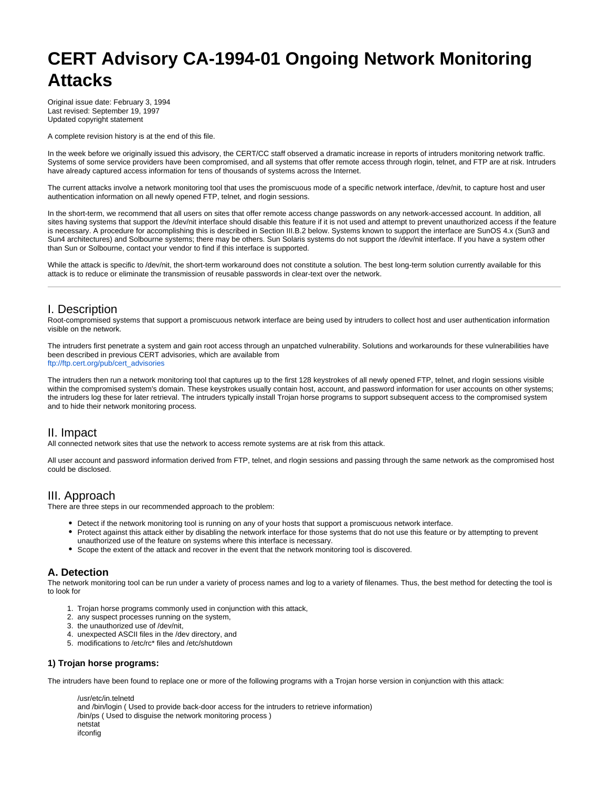# **CERT Advisory CA-1994-01 Ongoing Network Monitoring Attacks**

Original issue date: February 3, 1994 Last revised: September 19, 1997 Updated copyright statement

A complete revision history is at the end of this file.

In the week before we originally issued this advisory, the CERT/CC staff observed a dramatic increase in reports of intruders monitoring network traffic. Systems of some service providers have been compromised, and all systems that offer remote access through rlogin, telnet, and FTP are at risk. Intruders have already captured access information for tens of thousands of systems across the Internet.

The current attacks involve a network monitoring tool that uses the promiscuous mode of a specific network interface, /dev/nit, to capture host and user authentication information on all newly opened FTP, telnet, and rlogin sessions.

In the short-term, we recommend that all users on sites that offer remote access change passwords on any network-accessed account. In addition, all sites having systems that support the /dev/nit interface should disable this feature if it is not used and attempt to prevent unauthorized access if the feature is necessary. A procedure for accomplishing this is described in Section III.B.2 below. Systems known to support the interface are SunOS 4.x (Sun3 and Sun4 architectures) and Solbourne systems; there may be others. Sun Solaris systems do not support the /dev/nit interface. If you have a system other than Sun or Solbourne, contact your vendor to find if this interface is supported.

While the attack is specific to /dev/nit, the short-term workaround does not constitute a solution. The best long-term solution currently available for this attack is to reduce or eliminate the transmission of reusable passwords in clear-text over the network.

# I. Description

Root-compromised systems that support a promiscuous network interface are being used by intruders to collect host and user authentication information visible on the network.

The intruders first penetrate a system and gain root access through an unpatched vulnerability. Solutions and workarounds for these vulnerabilities have been described in previous CERT advisories, which are available from [ftp://ftp.cert.org/pub/cert\\_advisories](ftp://ftp.cert.org/pub/cert_advisories)

The intruders then run a network monitoring tool that captures up to the first 128 keystrokes of all newly opened FTP, telnet, and rlogin sessions visible within the compromised system's domain. These keystrokes usually contain host, account, and password information for user accounts on other systems; the intruders log these for later retrieval. The intruders typically install Trojan horse programs to support subsequent access to the compromised system and to hide their network monitoring process.

# II. Impact

All connected network sites that use the network to access remote systems are at risk from this attack.

All user account and password information derived from FTP, telnet, and rlogin sessions and passing through the same network as the compromised host could be disclosed.

# III. Approach

There are three steps in our recommended approach to the problem:

- Detect if the network monitoring tool is running on any of your hosts that support a promiscuous network interface.
- Protect against this attack either by disabling the network interface for those systems that do not use this feature or by attempting to prevent unauthorized use of the feature on systems where this interface is necessary.
- Scope the extent of the attack and recover in the event that the network monitoring tool is discovered.

# **A. Detection**

The network monitoring tool can be run under a variety of process names and log to a variety of filenames. Thus, the best method for detecting the tool is to look for

- 1. Trojan horse programs commonly used in conjunction with this attack,
- 2. any suspect processes running on the system,
- 3. the unauthorized use of /dev/nit,
- 4. unexpected ASCII files in the /dev directory, and
- 5. modifications to /etc/rc\* files and /etc/shutdown

# **1) Trojan horse programs:**

The intruders have been found to replace one or more of the following programs with a Trojan horse version in conjunction with this attack:

/usr/etc/in.telnetd and /bin/login ( Used to provide back-door access for the intruders to retrieve information) /bin/ps ( Used to disguise the network monitoring process ) netstat ifconfig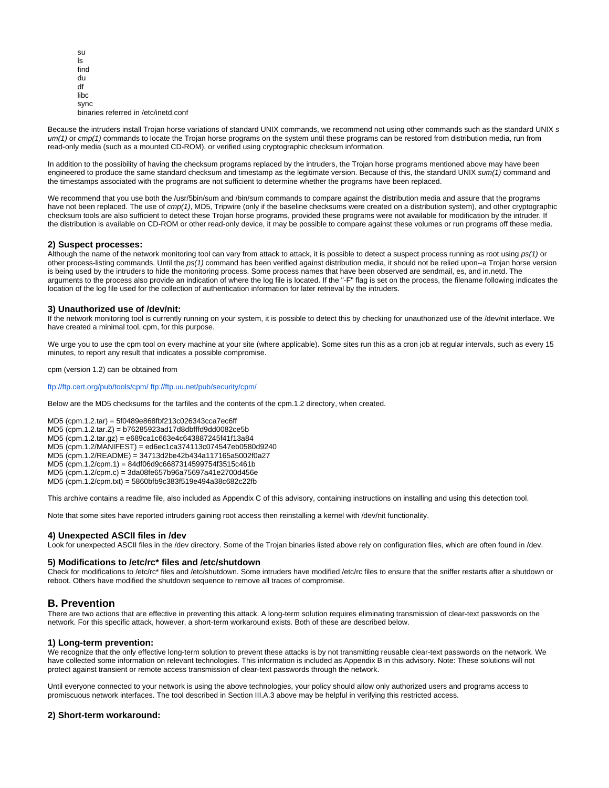su ls find du df libc sync binaries referred in /etc/inetd.conf

Because the intruders install Troian horse variations of standard UNIX commands, we recommend not using other commands such as the standard UNIX s  $um(1)$  or  $cmp(1)$  commands to locate the Trojan horse programs on the system until these programs can be restored from distribution media, run from read-only media (such as a mounted CD-ROM), or verified using cryptographic checksum information.

In addition to the possibility of having the checksum programs replaced by the intruders, the Trojan horse programs mentioned above may have been engineered to produce the same standard checksum and timestamp as the legitimate version. Because of this, the standard UNIX sum(1) command and the timestamps associated with the programs are not sufficient to determine whether the programs have been replaced.

We recommend that you use both the /usr/5bin/sum and /bin/sum commands to compare against the distribution media and assure that the programs have not been replaced. The use of cmp(1), MD5, Tripwire (only if the baseline checksums were created on a distribution system), and other cryptographic checksum tools are also sufficient to detect these Trojan horse programs, provided these programs were not available for modification by the intruder. If the distribution is available on CD-ROM or other read-only device, it may be possible to compare against these volumes or run programs off these media.

### **2) Suspect processes:**

Although the name of the network monitoring tool can vary from attack to attack, it is possible to detect a suspect process running as root using ps(1) or other process-listing commands. Until the ps(1) command has been verified against distribution media, it should not be relied upon--a Trojan horse version is being used by the intruders to hide the monitoring process. Some process names that have been observed are sendmail, es, and in.netd. The arguments to the process also provide an indication of where the log file is located. If the "-F" flag is set on the process, the filename following indicates the location of the log file used for the collection of authentication information for later retrieval by the intruders.

### **3) Unauthorized use of /dev/nit:**

If the network monitoring tool is currently running on your system, it is possible to detect this by checking for unauthorized use of the /dev/nit interface. We have created a minimal tool, cpm, for this purpose.

We urge you to use the cpm tool on every machine at your site (where applicable). Some sites run this as a cron job at regular intervals, such as every 15 minutes, to report any result that indicates a possible compromise.

cpm (version 1.2) can be obtained from

#### <ftp://ftp.cert.org/pub/tools/cpm/> <ftp://ftp.uu.net/pub/security/cpm/>

Below are the MD5 checksums for the tarfiles and the contents of the cpm.1.2 directory, when created.

MD5 (cpm.1.2.tar) = 5f0489e868fbf213c026343cca7ec6ff

MD5 (cpm.1.2.tar.Z) = b76285923ad17d8dbfffd9dd0082ce5b

MD5 (cpm.1.2.tar.gz) = e689ca1c663e4c643887245f41f13a84

MD5 (cpm.1.2/MANIFEST) = ed6ec1ca374113c074547eb0580d9240

MD5 (cpm.1.2/README) = 34713d2be42b434a117165a5002f0a27

MD5 (cpm.1.2/cpm.1) = 84df06d9c6687314599754f3515c461b

MD5 (cpm.1.2/cpm.c) = 3da08fe657b96a75697a41e2700d456e

MD5 (cpm.1.2/cpm.txt) = 5860bfb9c383f519e494a38c682c22fb

This archive contains a readme file, also included as Appendix C of this advisory, containing instructions on installing and using this detection tool.

Note that some sites have reported intruders gaining root access then reinstalling a kernel with /dev/nit functionality.

#### **4) Unexpected ASCII files in /dev**

Look for unexpected ASCII files in the /dev directory. Some of the Trojan binaries listed above rely on configuration files, which are often found in /dev.

### **5) Modifications to /etc/rc\* files and /etc/shutdown**

Check for modifications to /etc/rc\* files and /etc/shutdown. Some intruders have modified /etc/rc files to ensure that the sniffer restarts after a shutdown or reboot. Others have modified the shutdown sequence to remove all traces of compromise.

### **B. Prevention**

There are two actions that are effective in preventing this attack. A long-term solution requires eliminating transmission of clear-text passwords on the network. For this specific attack, however, a short-term workaround exists. Both of these are described below.

### **1) Long-term prevention:**

We recognize that the only effective long-term solution to prevent these attacks is by not transmitting reusable clear-text passwords on the network. We have collected some information on relevant technologies. This information is included as Appendix B in this advisory. Note: These solutions will not protect against transient or remote access transmission of clear-text passwords through the network.

Until everyone connected to your network is using the above technologies, your policy should allow only authorized users and programs access to promiscuous network interfaces. The tool described in Section III.A.3 above may be helpful in verifying this restricted access.

### **2) Short-term workaround:**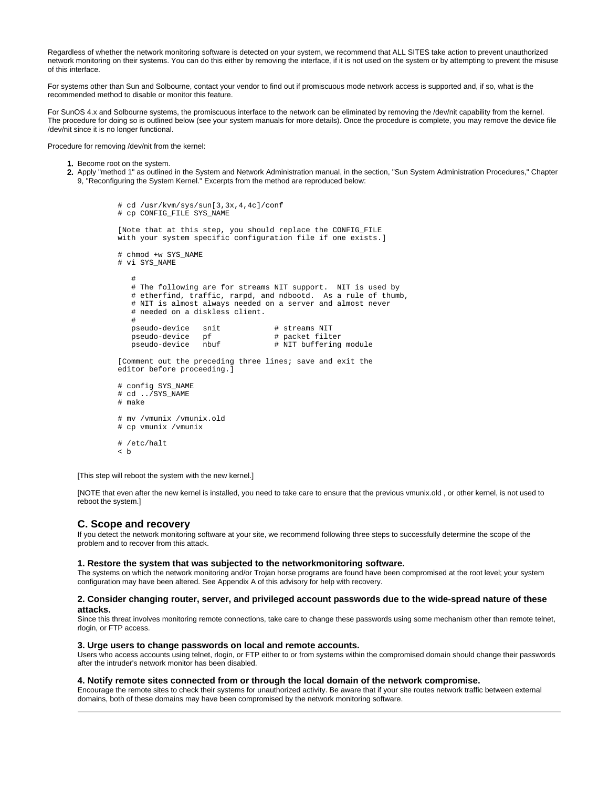Regardless of whether the network monitoring software is detected on your system, we recommend that ALL SITES take action to prevent unauthorized network monitoring on their systems. You can do this either by removing the interface, if it is not used on the system or by attempting to prevent the misuse of this interface.

For systems other than Sun and Solbourne, contact your vendor to find out if promiscuous mode network access is supported and, if so, what is the recommended method to disable or monitor this feature.

For SunOS 4.x and Solbourne systems, the promiscuous interface to the network can be eliminated by removing the /dev/nit capability from the kernel. The procedure for doing so is outlined below (see your system manuals for more details). Once the procedure is complete, you may remove the device file /dev/nit since it is no longer functional.

Procedure for removing /dev/nit from the kernel:

- 1. Become root on the system.
- 2. Apply "method 1" as outlined in the System and Network Administration manual, in the section, "Sun System Administration Procedures," Chapter 9, "Reconfiguring the System Kernel." Excerpts from the method are reproduced below:

```
 # cd /usr/kvm/sys/sun[3,3x,4,4c]/conf
        # cp CONFIG FILE SYS NAME
         [Note that at this step, you should replace the CONFIG_FILE
         with your system specific configuration file if one exists.]
         # chmod +w SYS_NAME
         # vi SYS_NAME
 #
            # The following are for streams NIT support. NIT is used by
            # etherfind, traffic, rarpd, and ndbootd. As a rule of thumb,
            # NIT is almost always needed on a server and almost never
            # needed on a diskless client.
 #
           pseudo-device snit # streams NIT<br>pseudo-device pf # packet filter
 pseudo-device pf # packet filter
 pseudo-device nbuf # NIT buffering module
         [Comment out the preceding three lines; save and exit the
         editor before proceeding.]
         # config SYS_NAME
         # cd ../SYS_NAME
         # make
         # mv /vmunix /vmunix.old
         # cp vmunix /vmunix
         # /etc/halt
         < b
```
[This step will reboot the system with the new kernel.]

[NOTE that even after the new kernel is installed, you need to take care to ensure that the previous vmunix.old , or other kernel, is not used to reboot the system.]

### **C. Scope and recovery**

If you detect the network monitoring software at your site, we recommend following three steps to successfully determine the scope of the problem and to recover from this attack.

#### **1. Restore the system that was subjected to the networkmonitoring software.**

The systems on which the network monitoring and/or Trojan horse programs are found have been compromised at the root level; your system configuration may have been altered. See Appendix A of this advisory for help with recovery.

#### **2. Consider changing router, server, and privileged account passwords due to the wide-spread nature of these attacks.**

Since this threat involves monitoring remote connections, take care to change these passwords using some mechanism other than remote telnet, rlogin, or FTP access.

#### **3. Urge users to change passwords on local and remote accounts.**

Users who access accounts using telnet, rlogin, or FTP either to or from systems within the compromised domain should change their passwords after the intruder's network monitor has been disabled.

#### **4. Notify remote sites connected from or through the local domain of the network compromise.**

Encourage the remote sites to check their systems for unauthorized activity. Be aware that if your site routes network traffic between external domains, both of these domains may have been compromised by the network monitoring software.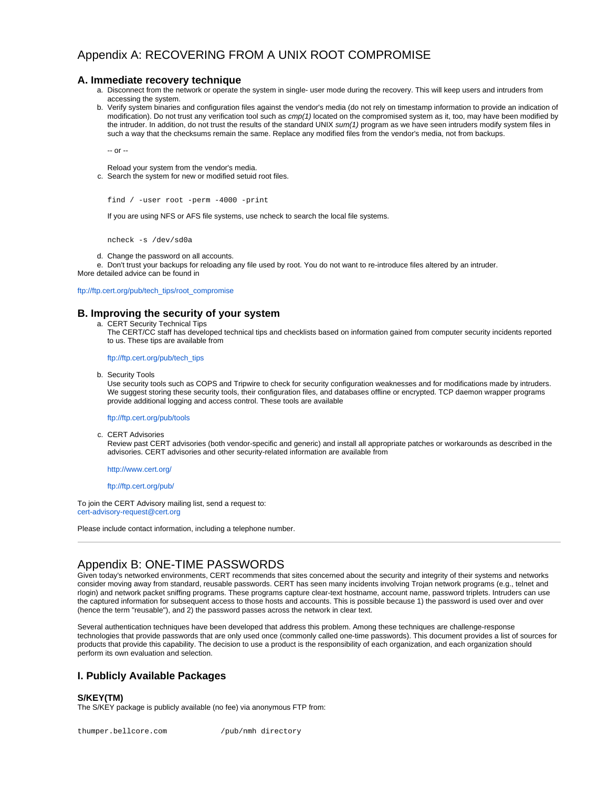# Appendix A: RECOVERING FROM A UNIX ROOT COMPROMISE

# **A. Immediate recovery technique**

- a. Disconnect from the network or operate the system in single- user mode during the recovery. This will keep users and intruders from accessing the system.
- b. Verify system binaries and configuration files against the vendor's media (do not rely on timestamp information to provide an indication of modification). Do not trust any verification tool such as cmp(1) located on the compromised system as it, too, may have been modified by the intruder. In addition, do not trust the results of the standard UNIX sum(1) program as we have seen intruders modify system files in such a way that the checksums remain the same. Replace any modified files from the vendor's media, not from backups.

-- or --

Reload your system from the vendor's media.

c. Search the system for new or modified setuid root files.

```
find / -user root -perm -4000 -print
```
If you are using NFS or AFS file systems, use ncheck to search the local file systems.

ncheck -s /dev/sd0a

d. Change the password on all accounts.

e. Don't trust your backups for reloading any file used by root. You do not want to re-introduce files altered by an intruder. More detailed advice can be found in

[ftp://ftp.cert.org/pub/tech\\_tips/root\\_compromise](ftp://ftp.cert.org/pub/tech_tips/root_compromise)

# **B. Improving the security of your system**

a. CERT Security Technical Tips

The CERT/CC staff has developed technical tips and checklists based on information gained from computer security incidents reported to us. These tips are available from

[ftp://ftp.cert.org/pub/tech\\_tips](ftp://ftp.cert.org/pub/tech_tips)

b. Security Tools

Use security tools such as COPS and Tripwire to check for security configuration weaknesses and for modifications made by intruders. We suggest storing these security tools, their configuration files, and databases offline or encrypted. TCP daemon wrapper programs provide additional logging and access control. These tools are available

#### <ftp://ftp.cert.org/pub/tools>

c. CERT Advisories

Review past CERT advisories (both vendor-specific and generic) and install all appropriate patches or workarounds as described in the advisories. CERT advisories and other security-related information are available from

<http://www.cert.org/>

### <ftp://ftp.cert.org/pub/>

To join the CERT Advisory mailing list, send a request to: [cert-advisory-request@cert.org](mailto:cert-advisory-request@cert.org)

Please include contact information, including a telephone number.

# Appendix B: ONE-TIME PASSWORDS

Given today's networked environments, CERT recommends that sites concerned about the security and integrity of their systems and networks consider moving away from standard, reusable passwords. CERT has seen many incidents involving Trojan network programs (e.g., telnet and rlogin) and network packet sniffing programs. These programs capture clear-text hostname, account name, password triplets. Intruders can use the captured information for subsequent access to those hosts and accounts. This is possible because 1) the password is used over and over (hence the term "reusable"), and 2) the password passes across the network in clear text.

Several authentication techniques have been developed that address this problem. Among these techniques are challenge-response technologies that provide passwords that are only used once (commonly called one-time passwords). This document provides a list of sources for products that provide this capability. The decision to use a product is the responsibility of each organization, and each organization should perform its own evaluation and selection.

# **I. Publicly Available Packages**

### **S/KEY(TM)**

The S/KEY package is publicly available (no fee) via anonymous FTP from: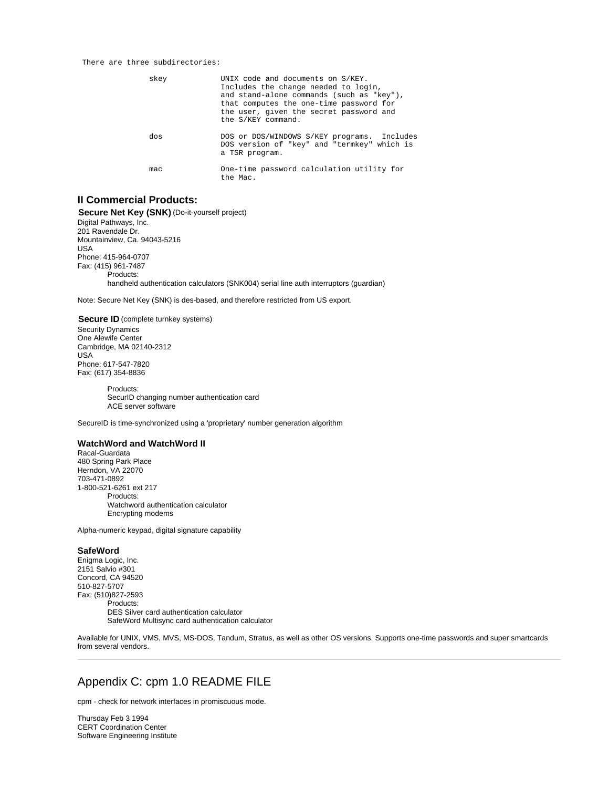#### There are three subdirectories:

| skey | UNIX code and documents on S/KEY.<br>Includes the change needed to login,<br>and stand-alone commands (such as "key"),<br>that computes the one-time password for<br>the user, given the secret password and<br>the S/KEY command. |
|------|------------------------------------------------------------------------------------------------------------------------------------------------------------------------------------------------------------------------------------|
| dos  | DOS or DOS/WINDOWS S/KEY programs. Includes<br>DOS version of "key" and "termkey" which is<br>a TSR program.                                                                                                                       |
| mac  | One-time password calculation utility for<br>the Mac.                                                                                                                                                                              |

# **II Commercial Products:**

**Secure Net Key (SNK)** (Do-it-yourself project) Digital Pathways, Inc. 201 Ravendale Dr. Mountainview, Ca. 94043-5216 USA Phone: 415-964-0707 Fax: (415) 961-7487 Products: handheld authentication calculators (SNK004) serial line auth interruptors (guardian)

Note: Secure Net Key (SNK) is des-based, and therefore restricted from US export.

**Secure ID** (complete turnkey systems) Security Dynamics One Alewife Center Cambridge, MA 02140-2312 USA Phone: 617-547-7820 Fax: (617) 354-8836

> Products: SecurID changing number authentication card ACE server software

SecureID is time-synchronized using a 'proprietary' number generation algorithm

## **WatchWord and WatchWord II**

Racal-Guardata 480 Spring Park Place Herndon, VA 22070 703-471-0892 1-800-521-6261 ext 217 Products: Watchword authentication calculator Encrypting modems

Alpha-numeric keypad, digital signature capability

#### **SafeWord**

Enigma Logic, Inc. 2151 Salvio #301 Concord, CA 94520 510-827-5707 Fax: (510)827-2593 Products: DES Silver card authentication calculator SafeWord Multisync card authentication calculator

Available for UNIX, VMS, MVS, MS-DOS, Tandum, Stratus, as well as other OS versions. Supports one-time passwords and super smartcards from several vendors.

# Appendix C: cpm 1.0 README FILE

cpm - check for network interfaces in promiscuous mode.

Thursday Feb 3 1994 CERT Coordination Center Software Engineering Institute